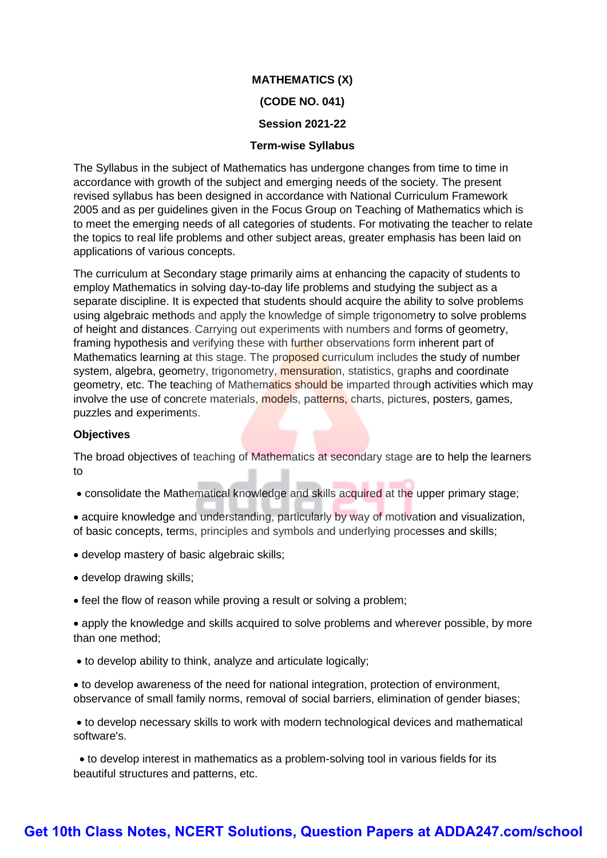# **MATHEMATICS (X) (CODE NO. 041)**

# **Session 2021-22**

# **Term-wise Syllabus**

The Syllabus in the subject of Mathematics has undergone changes from time to time in accordance with growth of the subject and emerging needs of the society. The present revised syllabus has been designed in accordance with National Curriculum Framework 2005 and as per guidelines given in the Focus Group on Teaching of Mathematics which is to meet the emerging needs of all categories of students. For motivating the teacher to relate the topics to real life problems and other subject areas, greater emphasis has been laid on applications of various concepts.

The curriculum at Secondary stage primarily aims at enhancing the capacity of students to employ Mathematics in solving day-to-day life problems and studying the subject as a separate discipline. It is expected that students should acquire the ability to solve problems using algebraic methods and apply the knowledge of simple trigonometry to solve problems of height and distances. Carrying out experiments with numbers and forms of geometry, framing hypothesis and verifying these with further observations form inherent part of Mathematics learning at this stage. The proposed curriculum includes the study of number system, algebra, geometry, trigonometry, mensuration, statistics, graphs and coordinate geometry, etc. The teaching of Mathematics should be imparted through activities which may involve the use of concrete materials, models, patterns, charts, pictures, posters, games, puzzles and experiments.

# **Objectives**

The broad objectives of teaching of Mathematics at secondary stage are to help the learners to

consolidate the Mathematical knowledge and skills acquired at the upper primary stage;

 acquire knowledge and understanding, particularly by way of motivation and visualization, of basic concepts, terms, principles and symbols and underlying processes and skills;

- develop mastery of basic algebraic skills;
- develop drawing skills;
- feel the flow of reason while proving a result or solving a problem;

 apply the knowledge and skills acquired to solve problems and wherever possible, by more than one method;

to develop ability to think, analyze and articulate logically;

 to develop awareness of the need for national integration, protection of environment, observance of small family norms, removal of social barriers, elimination of gender biases;

 to develop necessary skills to work with modern technological devices and mathematical software's.

 to develop interest in mathematics as a problem-solving tool in various fields for its beautiful structures and patterns, etc.

# **[Get 10th Class Notes, NCERT Solutions, Question Papers at ADDA247.com/school](https://www.adda247.com/school/)**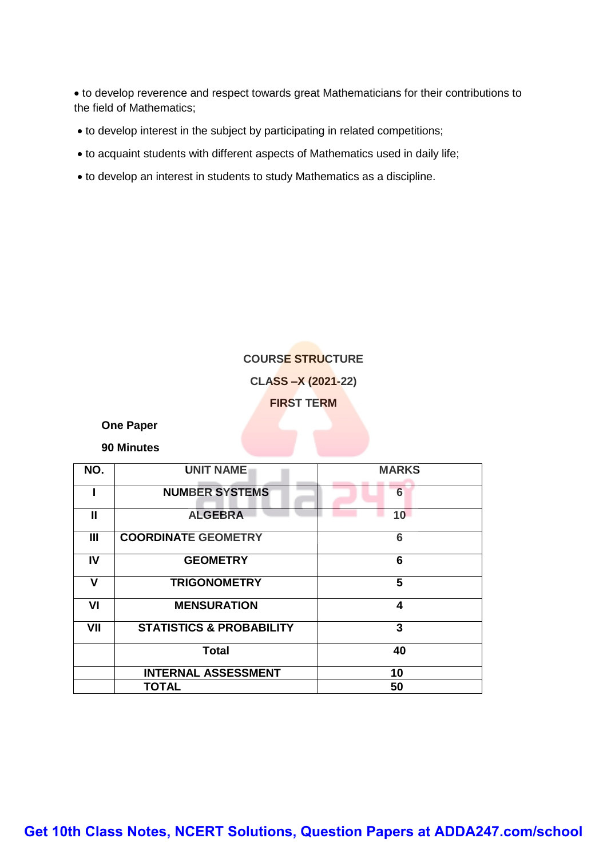to develop reverence and respect towards great Mathematicians for their contributions to the field of Mathematics;

- to develop interest in the subject by participating in related competitions;
- to acquaint students with different aspects of Mathematics used in daily life;
- to develop an interest in students to study Mathematics as a discipline.

# **COURSE STRUCTURE CLASS –X (2021-22) FIRST TERM**

**One Paper**

**90 Minutes**

| NO.            | <b>UNIT NAME</b>                         | <b>MARKS</b> |  |  |
|----------------|------------------------------------------|--------------|--|--|
|                | <b>NUMBER SYSTEMS</b>                    | 6            |  |  |
| $\mathbf{I}$   | <b>ALGEBRA</b>                           | 10           |  |  |
| $\mathbf{III}$ | <b>COORDINATE GEOMETRY</b><br>6          |              |  |  |
| IV             | 6<br><b>GEOMETRY</b>                     |              |  |  |
| v              | <b>TRIGONOMETRY</b>                      | 5            |  |  |
| VI             | <b>MENSURATION</b><br>4                  |              |  |  |
| VII            | 3<br><b>STATISTICS &amp; PROBABILITY</b> |              |  |  |
|                | <b>Total</b>                             | 40           |  |  |
|                | <b>INTERNAL ASSESSMENT</b>               | 10           |  |  |
|                | <b>TOTAL</b>                             | 50           |  |  |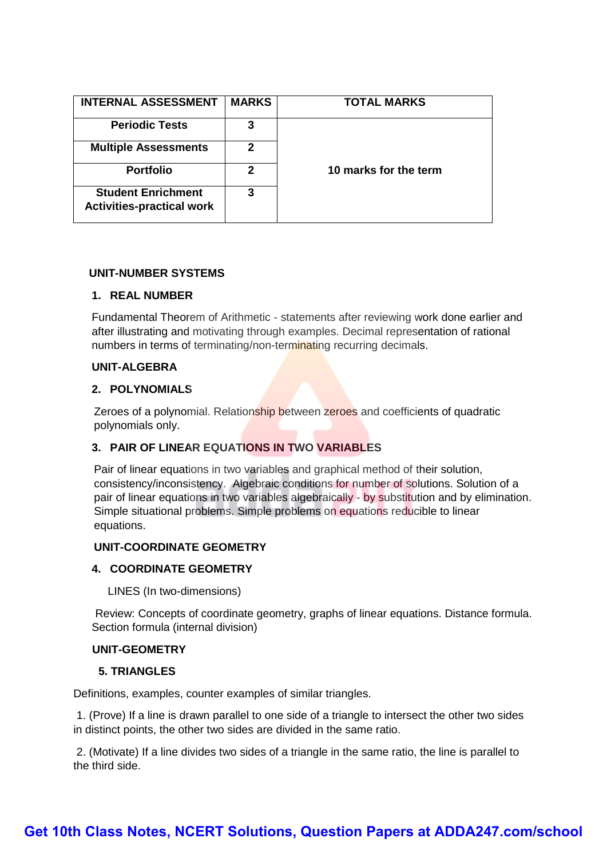| <b>INTERNAL ASSESSMENT</b>                                    | <b>MARKS</b> | <b>TOTAL MARKS</b>    |
|---------------------------------------------------------------|--------------|-----------------------|
| <b>Periodic Tests</b>                                         | 3            |                       |
| <b>Multiple Assessments</b>                                   | 2            |                       |
| <b>Portfolio</b>                                              | $\mathbf{2}$ | 10 marks for the term |
| <b>Student Enrichment</b><br><b>Activities-practical work</b> | 3            |                       |

# **UNIT-NUMBER SYSTEMS**

# **1. REAL NUMBER**

Fundamental Theorem of Arithmetic - statements after reviewing work done earlier and after illustrating and motivating through examples. Decimal representation of rational numbers in terms of terminating/non-terminating recurring decimals.

# **UNIT-ALGEBRA**

# **2. POLYNOMIALS**

Zeroes of a polynomial. Relationship between zeroes and coefficients of quadratic polynomials only.

# **3. PAIR OF LINEAR EQUATIONS IN TWO VARIABLES**

Pair of linear equations in two variables and graphical method of their solution, consistency/inconsistency. Algebraic conditions for number of solutions. Solution of a pair of linear equations in two variables algebraically - by substitution and by elimination. Simple situational problems. Simple problems on equations reducible to linear equations.

# **UNIT-COORDINATE GEOMETRY**

# **4. COORDINATE GEOMETRY**

LINES (In two-dimensions)

Review: Concepts of coordinate geometry, graphs of linear equations. Distance formula. Section formula (internal division)

#### **UNIT-GEOMETRY**

# **5. TRIANGLES**

Definitions, examples, counter examples of similar triangles.

1. (Prove) If a line is drawn parallel to one side of a triangle to intersect the other two sides in distinct points, the other two sides are divided in the same ratio.

2. (Motivate) If a line divides two sides of a triangle in the same ratio, the line is parallel to the third side.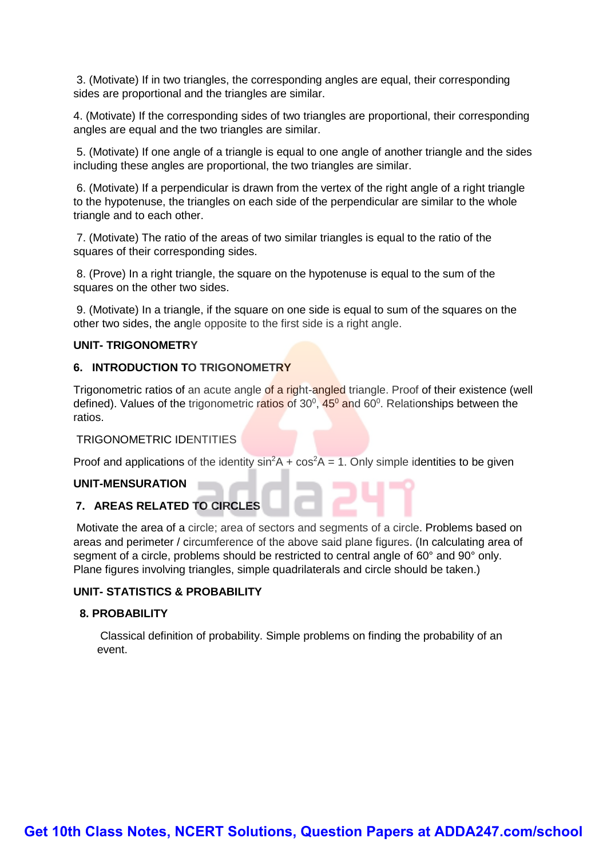3. (Motivate) If in two triangles, the corresponding angles are equal, their corresponding sides are proportional and the triangles are similar.

4. (Motivate) If the corresponding sides of two triangles are proportional, their corresponding angles are equal and the two triangles are similar.

5. (Motivate) If one angle of a triangle is equal to one angle of another triangle and the sides including these angles are proportional, the two triangles are similar.

6. (Motivate) If a perpendicular is drawn from the vertex of the right angle of a right triangle to the hypotenuse, the triangles on each side of the perpendicular are similar to the whole triangle and to each other.

7. (Motivate) The ratio of the areas of two similar triangles is equal to the ratio of the squares of their corresponding sides.

8. (Prove) In a right triangle, the square on the hypotenuse is equal to the sum of the squares on the other two sides.

9. (Motivate) In a triangle, if the square on one side is equal to sum of the squares on the other two sides, the angle opposite to the first side is a right angle.

# **UNIT- TRIGONOMETRY**

# **6. INTRODUCTION TO TRIGONOMETRY**

Trigonometric ratios of an acute angle of a right-angled triangle. Proof of their existence (well defined). Values of the trigonometric ratios of 30<sup>0</sup>, 45<sup>0</sup> and 60<sup>0</sup>. Relationships between the ratios.

# TRIGONOMETRIC IDENTITIES

Proof and applications of the identity  $sin^2 A + cos^2 A = 1$ . Only simple identities to be given

#### **UNIT-MENSURATION**

# **7. AREAS RELATED TO CIRCLES**

Motivate the area of a circle; area of sectors and segments of a circle. Problems based on areas and perimeter / circumference of the above said plane figures. (In calculating area of segment of a circle, problems should be restricted to central angle of 60° and 90° only. Plane figures involving triangles, simple quadrilaterals and circle should be taken.)

# **UNIT- STATISTICS & PROBABILITY**

# **8. PROBABILITY**

Classical definition of probability. Simple problems on finding the probability of an event.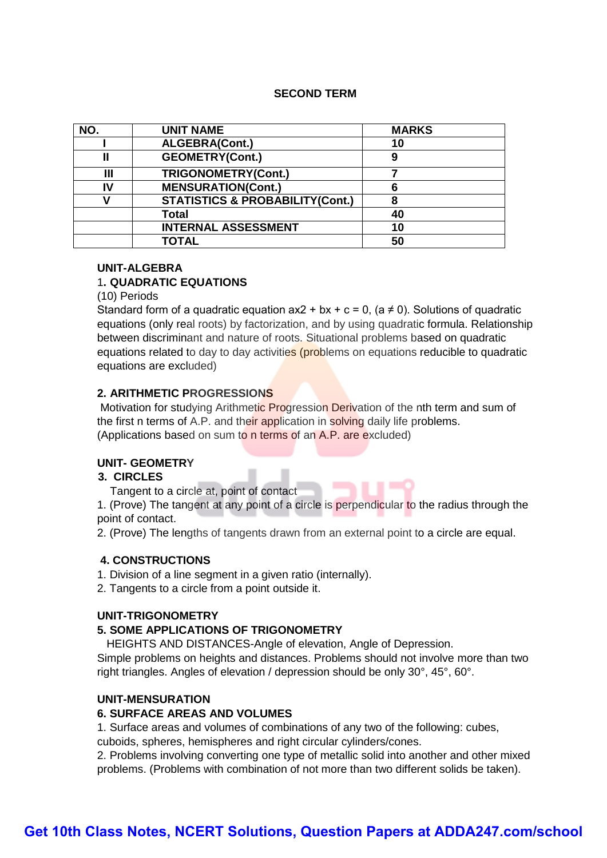# **SECOND TERM**

| NO. | <b>UNIT NAME</b>                           | <b>MARKS</b> |  |
|-----|--------------------------------------------|--------------|--|
|     | ALGEBRA(Cont.)                             | 10           |  |
|     | <b>GEOMETRY(Cont.)</b><br>9                |              |  |
| Ш   | <b>TRIGONOMETRY(Cont.)</b>                 |              |  |
| IV  | <b>MENSURATION(Cont.)</b>                  | 6            |  |
|     | <b>STATISTICS &amp; PROBABILITY(Cont.)</b> | 8            |  |
|     | <b>Total</b>                               | 40           |  |
|     | <b>INTERNAL ASSESSMENT</b>                 | 10           |  |
|     | <b>TOTAL</b>                               | 50           |  |

# **UNIT-ALGEBRA**

# 1**. QUADRATIC EQUATIONS**

(10) Periods

Standard form of a quadratic equation  $ax2 + bx + c = 0$ . (a  $\neq$  0). Solutions of quadratic equations (only real roots) by factorization, and by using quadratic formula. Relationship between discriminant and nature of roots. Situational problems based on quadratic equations related to day to day activities (problems on equations reducible to quadratic equations are excluded)

# **2. ARITHMETIC PROGRESSIONS**

Motivation for studying Arithmetic Progression Derivation of the nth term and sum of the first n terms of A.P. and their application in solving daily life problems. (Applications based on sum to n terms of an A.P. are excluded)

# **UNIT- GEOMETRY**

#### **3. CIRCLES**

Tangent to a circle at, point of contact

1. (Prove) The tangent at any point of a circle is perpendicular to the radius through the point of contact.

2. (Prove) The lengths of tangents drawn from an external point to a circle are equal.

#### **4. CONSTRUCTIONS**

1. Division of a line segment in a given ratio (internally).

2. Tangents to a circle from a point outside it.

#### **UNIT-TRIGONOMETRY**

# **5. SOME APPLICATIONS OF TRIGONOMETRY**

HEIGHTS AND DISTANCES-Angle of elevation, Angle of Depression.

Simple problems on heights and distances. Problems should not involve more than two right triangles. Angles of elevation / depression should be only 30°, 45°, 60°.

# **UNIT-MENSURATION**

#### **6. SURFACE AREAS AND VOLUMES**

1. Surface areas and volumes of combinations of any two of the following: cubes,

cuboids, spheres, hemispheres and right circular cylinders/cones.

2. Problems involving converting one type of metallic solid into another and other mixed problems. (Problems with combination of not more than two different solids be taken).